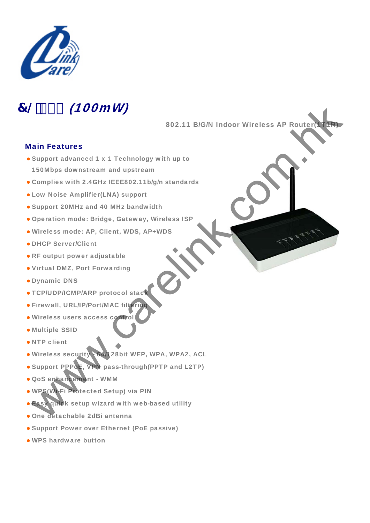

# 7@%\$\$ (100mW)

802.11 B/G/N Indoor Wireless AP Router

### Main Features

- Support advanced 1 x 1 Technology with up to 150Mbps downstream and upstream www.carelink.com.hk
- Complies with 2.4GHz IEEE802.11b/g/n standards
- Low Noise Amplifier(LNA) support
- Support 20MHz and 40 MHz bandwidth
- Operation mode: Bridge, Gateway, Wireless ISP
- · Wireless mode: AP, Client, WDS, AP+WDS
- DHCP Server/Client
- $\bullet$  RF output power adjustable
- Virtual DMZ, Port Forwarding
- Dynamic DNS
- TCP/UDP/ICMP/ARP protocol stack
- **Firewall, URL/IP/Port/MAC filterin**
- · Wireless users access control
- Multiple SSID
- NTP client
- . Wireless security 64/128bit WEP, WPA, WPA2, ACL
- Support PPPoE, VPN pass-through(PPTP and L2TP)
- z QoS enhancement WMM
- . WPS(Wi-Fi Protected Setup) via PIN
- **. Easy quick setup wizard with web-based utility**
- One detachable 2dBi antenna
- Support Power over Ethernet (PoE passive)
- WPS hardware button